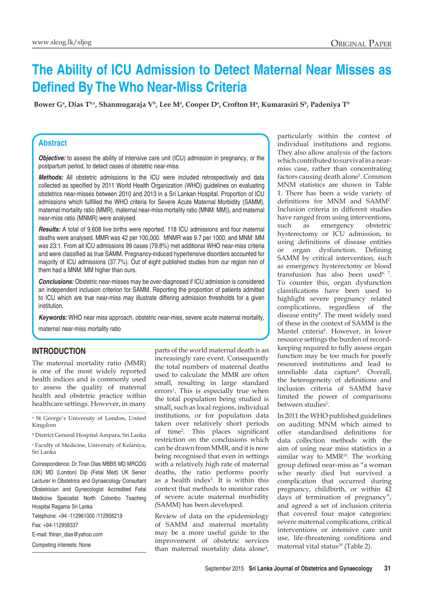# **The Ability of ICU Admission to Detect Maternal Near Misses as Defined By The Who Near-Miss Criteria**

Bower G<sup>a</sup>, Dias T<sup>b,c</sup>, Shanmugaraja V<sup>b</sup>, Lee M<sup>a</sup>, Cooper D<sup>a</sup>, Crofton H<sup>a</sup>, Kumarasiri S<sup>b</sup>, Padeniya T<sup>b</sup>

## **Abstract**

*Objective:* to assess the ability of intensive care unit (ICU) admission in pregnancy, or the postpartum period, to detect cases of obstetric near-miss.

*Methods:* All obstetric admissions to the ICU were included retrospectively and data collected as specified by 2011 World Health Organization (WHO) guidelines on evaluating obstetrics near-misses between 2010 and 2013 in a Sri Lankan Hospital. Proportion of ICU admissions which fulfilled the WHO criteria for Severe Acute Maternal Morbidity (SAMM), maternal mortality ratio (MMR), maternal near-miss mortality ratio (MNM: MM)), and maternal near-miss ratio (MNMR) were analysed.

*Results:* A total of 9,608 live births were reported. 118 ICU admissions and four maternal deaths were analysed. MMR was 42 per 100,000. MNMR was 9.7 per 1000, and MNM: MM was 23:1. From all ICU admissions 99 cases (79.8%) met additional WHO near-miss criteria and were classified as true SAMM. Pregnancy-induced hypertensive disorders accounted for majority of ICU admissions (37.7%). Out of eight published studies from our region non of them had a MNM: MM higher than ours.

*Conclusions:* Obstetric near-misses may be over-diagnosed if ICU admission is considered an independent inclusion criterion for SAMM. Reporting the proportion of patients admitted to ICU which are true near-miss may illustrate differing admission thresholds for a given institution.

*Keywords:* WHO near miss approach, obstetric near-miss, severe acute maternal mortality,

maternal near-miss mortality ratio

## **Introduction**

The maternal mortality ratio (MMR) is one of the most widely reported health indices and is commonly used to assess the quality of maternal health and obstetric practice within healthcare settings. However, in many

a St George's University of London, United Kingdom

b District General Hospital Ampara, Sri Lanka c Faculty of Medicine, University of Kelaniya, Sri Lanka

Correspondence: Dr.Tiran Dias MBBS MD MRCOG (UK) MD (London) Dip (Fetal Med) UK Senior Lecturer in Obstetrics and Gynaecology Consultant Obstetrician and Gynecologist Accredited Fetal Medicine Specialist North Colombo Teaching Hospital Ragama Sri Lanka Telephone: +94 -112961000 /112958219 Fax: +94-112958337 E-mail: thiran\_dias@yahoo.com Competing interests: None

parts of the world maternal death is an increasingly rare event. Consequently the total numbers of maternal deaths used to calculate the MMR are often small, resulting in large standard errors<sup>1</sup>. This is especially true when the total population being studied is small, such as local regions, individual institutions, or for population data taken over relatively short periods of time2 . This places significant restriction on the conclusions which can be drawn from MMR, and it is now being recognised that even in settings with a relatively high rate of maternal deaths, the ratio performs poorly as a health index3 . It is within this context that methods to monitor rates of severe acute maternal morbidity (SAMM) has been developed.

Review of data on the epidemiology of SAMM and maternal mortality may be a more useful guide to the improvement of obstetric services than maternal mortality data alone<sup>4</sup>,

particularly within the contest of individual institutions and regions. They also allow analysis of the factors which contributed to survival in a nearmiss case, rather than concentrating factors causing death alone<sup>5</sup>. Common MNM statistics are shown in Table 1. There has been a wide variety of definitions for MNM and SAMM<sup>2</sup> . Inclusion criteria in different studies have ranged from using interventions, such as emergency obstetric hysterectomy or ICU admission, to using definitions of disease entities or organ dysfunction. Defining SAMM by critical intervention, such as emergency hysterectomy or blood transfusion has also been used<sup>6, 7</sup>. To counter this, organ dysfunction classifications have been used to highlight severe pregnancy related complications, regardless of the disease entity<sup>8</sup>. The most widely used of these in the context of SAMM is the Mantel criteria8 . However, in lower resource settings the burden of recordkeeping required to fully assess organ function may be too much for poorly resourced institutions and lead to unreliable data capture<sup>9</sup>. Overall, the heterogeneity of definitions and inclusion criteria of SAMM have limited the power of comparisons between studies<sup>2</sup>.

In 2011 the WHO published guidelines on auditing MNM which aimed to offer standardised definitions for data collection methods with the aim of using near miss statistics in a similar way to MMR<sup>10</sup>. The working group defined near-miss as "a woman who nearly died but survived a complication that occurred during pregnancy, childbirth, or within 42 days of termination of pregnancy", and agreed a set of inclusion criteria that covered four major categories: severe maternal complications, critical interventions or intensive care unit use, life-threatening conditions and maternal vital status<sup>10</sup> (Table 2).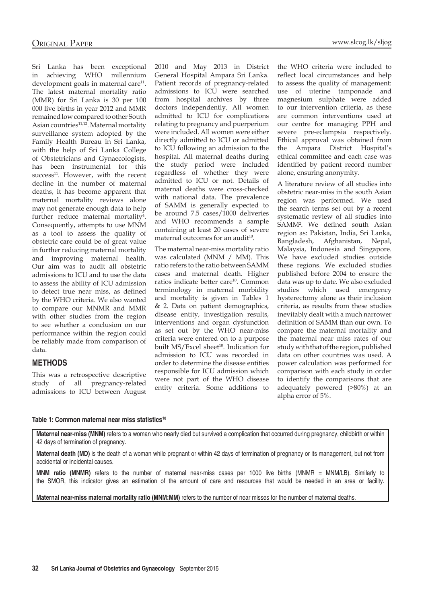Sri Lanka has been exceptional in achieving WHO millennium development goals in maternal care $11$ . The latest maternal mortality ratio (MMR) for Sri Lanka is 30 per 100 000 live births in year 2012 and MMR remained low compared to other South Asian countries<sup>11,12</sup>. Maternal mortality surveillance system adopted by the Family Health Bureau in Sri Lanka, with the help of Sri Lanka College of Obstetricians and Gynaecologists, has been instrumental for this  $success<sup>11</sup>$ . However, with the recent decline in the number of maternal deaths, it has become apparent that maternal mortality reviews alone may not generate enough data to help further reduce maternal mortality<sup>4</sup>. Consequently, attempts to use MNM as a tool to assess the quality of obstetric care could be of great value in further reducing maternal mortality and improving maternal health. Our aim was to audit all obstetric admissions to ICU and to use the data to assess the ability of ICU admission to detect true near miss, as defined by the WHO criteria. We also wanted to compare our MNMR and MMR with other studies from the region to see whether a conclusion on our performance within the region could be reliably made from comparison of data.

## **Methods**

This was a retrospective descriptive study of all pregnancy-related admissions to ICU between August

2010 and May 2013 in District General Hospital Ampara Sri Lanka. Patient records of pregnancy-related admissions to ICU were searched from hospital archives by three doctors independently. All women admitted to ICU for complications relating to pregnancy and puerperium were included. All women were either directly admitted to ICU or admitted to ICU following an admission to the hospital. All maternal deaths during the study period were included regardless of whether they were admitted to ICU or not. Details of maternal deaths were cross-checked with national data. The prevalence of SAMM is generally expected to be around 7.5 cases/1000 deliveries and WHO recommends a sample containing at least 20 cases of severe maternal outcomes for an audit $10$ .

The maternal near-miss mortality ratio was calculated (MNM / MM). This ratio refers to the ratio between SAMM cases and maternal death. Higher ratios indicate better care<sup>10</sup>. Common terminology in maternal morbidity and mortality is given in Tables 1 & 2. Data on patient demographics, disease entity, investigation results, interventions and organ dysfunction as set out by the WHO near-miss criteria were entered on to a purpose built MS/Excel sheet<sup>10</sup>. Indication for admission to ICU was recorded in order to determine the disease entities responsible for ICU admission which were not part of the WHO disease entity criteria. Some additions to the WHO criteria were included to reflect local circumstances and help to assess the quality of management: use of uterine tamponade and magnesium sulphate were added to our intervention criteria, as these are common interventions used at our centre for managing PPH and severe pre-eclampsia respectively. Ethical approval was obtained from the Ampara District Hospital's ethical committee and each case was identified by patient record number alone, ensuring anonymity.

A literature review of all studies into obstetric near-miss in the south Asian region was performed. We used the search terms set out by a recent systematic review of all studies into SAMM2 . We defined south Asian region as: Pakistan, India, Sri Lanka, Bangladesh, Afghanistan, Nepal, Malaysia, Indonesia and Singapore. We have excluded studies outside these regions. We excluded studies published before 2004 to ensure the data was up to date. We also excluded studies which used emergency hysterectomy alone as their inclusion criteria, as results from these studies inevitably dealt with a much narrower definition of SAMM than our own. To compare the maternal mortality and the maternal near miss rates of our study with that of the region, published data on other countries was used. A power calculation was performed for comparison with each study in order to identify the comparisons that are adequately powered (>80%) at an alpha error of 5%.

#### **Table 1: Common maternal near miss statistics10**

Maternal near-miss (MNM) refers to a woman who nearly died but survived a complication that occurred during pregnancy, childbirth or within 42 days of termination of pregnancy.

**Maternal death (MD)** is the death of a woman while pregnant or within 42 days of termination of pregnancy or its management, but not from accidental or incidental causes.

**MNM ratio (MNMR)** refers to the number of maternal near-miss cases per 1000 live births (MNMR = MNM/LB). Similarly to the SMOR, this indicator gives an estimation of the amount of care and resources that would be needed in an area or facility.

**Maternal near-miss maternal mortality ratio (MNM:MM)** refers to the number of near misses for the number of maternal deaths.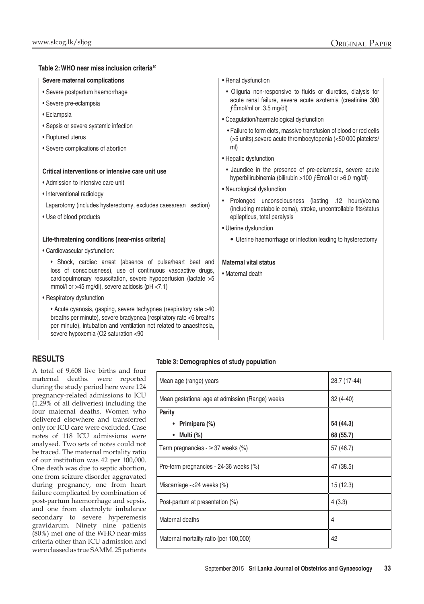### **Table 2: WHO near miss inclusion criteria10**

| Severe maternal complications                                                                                                                                                                                                                         | • Renal dysfunction                                                                                                                                  |  |  |  |
|-------------------------------------------------------------------------------------------------------------------------------------------------------------------------------------------------------------------------------------------------------|------------------------------------------------------------------------------------------------------------------------------------------------------|--|--|--|
| • Severe postpartum haemorrhage                                                                                                                                                                                                                       | · Oliguria non-responsive to fluids or diuretics, dialysis for                                                                                       |  |  |  |
| · Severe pre-eclampsia                                                                                                                                                                                                                                | acute renal failure, severe acute azotemia (creatinine 300<br>fÊmol/ml or .3.5 mg/dl)                                                                |  |  |  |
| • Eclampsia                                                                                                                                                                                                                                           | • Coagulation/haematological dysfunction<br>• Failure to form clots, massive transfusion of blood or red cells                                       |  |  |  |
| • Sepsis or severe systemic infection                                                                                                                                                                                                                 |                                                                                                                                                      |  |  |  |
| • Ruptured uterus                                                                                                                                                                                                                                     | (>5 units), severe acute thrombocytopenia (<50 000 platelets/<br>ml)                                                                                 |  |  |  |
| • Severe complications of abortion                                                                                                                                                                                                                    | • Hepatic dysfunction                                                                                                                                |  |  |  |
| Critical interventions or intensive care unit use<br>• Admission to intensive care unit<br>• Interventional radiology<br>Laparotomy (includes hysterectomy, excludes caesarean section)<br>• Use of blood products                                    | • Jaundice in the presence of pre-eclampsia, severe acute<br>hyperbilirubinemia (bilirubin >100 fÊmol/l or >6.0 mg/dl)<br>• Neurological dysfunction |  |  |  |
|                                                                                                                                                                                                                                                       | Prolonged unconsciousness (lasting .12 hours)/coma<br>(including metabolic coma), stroke, uncontrollable fits/status<br>epilepticus, total paralysis |  |  |  |
|                                                                                                                                                                                                                                                       | • Uterine dysfunction                                                                                                                                |  |  |  |
| Life-threatening conditions (near-miss criteria)                                                                                                                                                                                                      | • Uterine haemorrhage or infection leading to hysterectomy                                                                                           |  |  |  |
| • Cardiovascular dysfunction:                                                                                                                                                                                                                         |                                                                                                                                                      |  |  |  |
| • Shock, cardiac arrest (absence of pulse/heart beat and                                                                                                                                                                                              | <b>Maternal vital status</b>                                                                                                                         |  |  |  |
| loss of consciousness), use of continuous vasoactive drugs,<br>cardiopulmonary resuscitation, severe hypoperfusion (lactate >5<br>mmol/l or >45 mg/dl), severe acidosis (pH $<$ 7.1)                                                                  | • Maternal death                                                                                                                                     |  |  |  |
| • Respiratory dysfunction                                                                                                                                                                                                                             |                                                                                                                                                      |  |  |  |
| • Acute cyanosis, gasping, severe tachypnea (respiratory rate >40<br>breaths per minute), severe bradypnea (respiratory rate <6 breaths<br>per minute), intubation and ventilation not related to anaesthesia,<br>severe hypoxemia (O2 saturation <90 |                                                                                                                                                      |  |  |  |

## **Results**

A total of 9,608 live births and four maternal deaths. were reported during the study period here were 124 pregnancy-related admissions to ICU (1.29% of all deliveries) including the four maternal deaths. Women who delivered elsewhere and transferred only for ICU care were excluded. Case notes of 118 ICU admissions were analysed. Two sets of notes could not be traced. The maternal mortality ratio of our institution was 42 per 100,000. One death was due to septic abortion, one from seizure disorder aggravated during pregnancy, one from heart failure complicated by combination of post-partum haemorrhage and sepsis, and one from electrolyte imbalance secondary to severe hyperemesis gravidarum. Ninety nine patients (80%) met one of the WHO near-miss criteria other than ICU admission and were classed as true SAMM. 25 patients

### **Table 3: Demographics of study population**

| Mean age (range) years                          | 28.7 (17-44) |  |  |
|-------------------------------------------------|--------------|--|--|
| Mean gestational age at admission (Range) weeks | 32 (4-40)    |  |  |
| <b>Parity</b>                                   |              |  |  |
| Primipara (%)                                   | 54 (44.3)    |  |  |
| Multi (%)                                       | 68 (55.7)    |  |  |
| Term pregnancies - $\geq$ 37 weeks (%)          | 57 (46.7)    |  |  |
| Pre-term pregnancies - 24-36 weeks (%)          | 47 (38.5)    |  |  |
| Miscarriage $-24$ weeks $(\%)$                  | 15(12.3)     |  |  |
| Post-partum at presentation (%)                 | 4(3.3)       |  |  |
| Maternal deaths                                 | 4            |  |  |
| Maternal mortality ratio (per 100,000)          | 42           |  |  |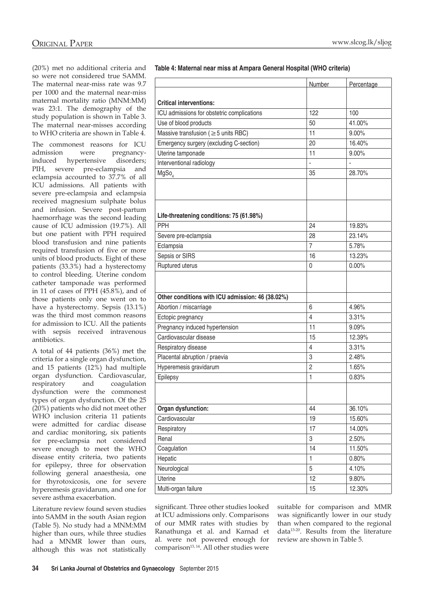(20%) met no additional criteria and so were not considered true SAMM. The maternal near-miss rate was 9.7 per 1000 and the maternal near-miss maternal mortality ratio (MNM:MM) was 23:1. The demography of the study population is shown in Table 3. The maternal near-misses according to WHO criteria are shown in Table 4.

The commonest reasons for ICU admission were pregnancyinduced hypertensive disorders; PIH, severe pre-eclampsia and eclampsia accounted to 37.7% of all ICU admissions. All patients with severe pre-eclampsia and eclampsia received magnesium sulphate bolus and infusion. Severe post-partum haemorrhage was the second leading cause of ICU admission (19.7%). All but one patient with PPH required blood transfusion and nine patients required transfusion of five or more units of blood products. Eight of these patients (33.3%) had a hysterectomy to control bleeding. Uterine condom catheter tamponade was performed in 11 of cases of PPH (45.8%), and of those patients only one went on to have a hysterectomy. Sepsis (13.1%) was the third most common reasons for admission to ICU. All the patients with sepsis received intravenous antibiotics.

A total of 44 patients (36%) met the criteria for a single organ dysfunction, and 15 patients (12%) had multiple organ dysfunction. Cardiovascular, respiratory and coagulation dysfunction were the commonest types of organ dysfunction. Of the 25 (20%) patients who did not meet other WHO inclusion criteria 11 patients were admitted for cardiac disease and cardiac monitoring, six patients for pre-eclampsia not considered severe enough to meet the WHO disease entity criteria, two patients for epilepsy, three for observation following general anaesthesia, one for thyrotoxicosis, one for severe hyperemesis gravidarum, and one for severe asthma exacerbation.

Literature review found seven studies into SAMM in the south Asian region (Table 5). No study had a MNM:MM higher than ours, while three studies had a MNMR lower than ours, although this was not statistically

**Table 4: Maternal near miss at Ampara General Hospital (WHO criteria)**

|                                                  | Number         | Percentage |  |  |
|--------------------------------------------------|----------------|------------|--|--|
|                                                  |                |            |  |  |
| <b>Critical interventions:</b>                   |                |            |  |  |
| ICU admissions for obstetric complications       | 122            | 100        |  |  |
| Use of blood products                            | 50             | 41.00%     |  |  |
| Massive transfusion ( $\geq$ 5 units RBC)        | 11             | 9.00%      |  |  |
| Emergency surgery (excluding C-section)          | 20             | 16.40%     |  |  |
| Uterine tamponade                                | 11             | 9.00%      |  |  |
| Interventional radiology                         | $\overline{a}$ |            |  |  |
| MgSo <sub>4</sub>                                | 35             | 28.70%     |  |  |
|                                                  |                |            |  |  |
| Life-threatening conditions: 75 (61.98%)         |                |            |  |  |
| PPH                                              | 24             | 19.83%     |  |  |
| Severe pre-eclampsia                             | 28             | 23.14%     |  |  |
| Eclampsia                                        | $\overline{7}$ | 5.78%      |  |  |
| Sepsis or SIRS                                   | 16             | 13.23%     |  |  |
| Ruptured uterus                                  | 0              | 0.00%      |  |  |
|                                                  |                |            |  |  |
| Other conditions with ICU admission: 46 (38.02%) |                |            |  |  |
| Abortion / miscarriage                           | 6              | 4.96%      |  |  |
| Ectopic pregnancy                                | 4              | 3.31%      |  |  |
| Pregnancy induced hypertension                   | 11             | 9.09%      |  |  |
| Cardiovascular disease                           | 15             | 12.39%     |  |  |
| Respiratory disease                              | 4              | 3.31%      |  |  |
| Placental abruption / praevia                    | 3              | 2.48%      |  |  |
| Hyperemesis gravidarum                           | $\overline{2}$ | 1.65%      |  |  |
| Epilepsy                                         | 1              | 0.83%      |  |  |
|                                                  |                |            |  |  |
| Organ dysfunction:                               | 44             | 36.10%     |  |  |
| Cardiovascular                                   | 19             | 15.60%     |  |  |
| Respiratory                                      | 17             | 14.00%     |  |  |
| Renal                                            | 3              | 2.50%      |  |  |
| Coagulation                                      | 14             | 11.50%     |  |  |
| Hepatic                                          | $\mathbf{1}$   | 0.80%      |  |  |
| Neurological                                     | 5              | 4.10%      |  |  |
| Uterine                                          | 12             | 9.80%      |  |  |
| Multi-organ failure                              | 15             | 12.30%     |  |  |

significant. Three other studies looked at ICU admissions only. Comparisons of our MMR rates with studies by Ranathunga et al. and Karnad et al. were not powered enough for comparison<sup>13, 14</sup>. All other studies were

suitable for comparison and MMR was significantly lower in our study than when compared to the regional data13-20. Results from the literature review are shown in Table 5.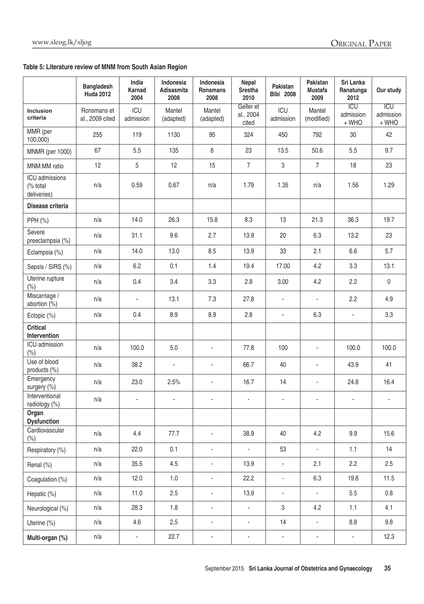# **Table 5: Literature review of MNM from South Asian Region**

|                                           | <b>Bangladesh</b><br><b>Huda 2012</b> | India<br><b>Karnad</b><br>2004 | Indonesia<br>Adisasmita<br>2008 | Indonesia<br>Ronsmans<br>2008 | Nepal<br><b>Srestha</b><br>2010 | Pakistan<br><b>Bibi</b> 2008 | Pakistan<br><b>Mustafa</b><br>2009 | Sri Lanka<br>Ranatunga<br>2012     | Our study                        |
|-------------------------------------------|---------------------------------------|--------------------------------|---------------------------------|-------------------------------|---------------------------------|------------------------------|------------------------------------|------------------------------------|----------------------------------|
| Inclusion<br>criteria                     | Ronsmans et<br>al., 2009 cited        | ICU<br>admission               | Mantel<br>(adapted)             | Mantel<br>(adapted)           | Geller et<br>al., 2004<br>cited | ICU<br>admission             | Mantel<br>(modified)               | <b>ICU</b><br>admission<br>$+$ WHO | <b>ICU</b><br>admission<br>+ WHO |
| MMR (per<br>100,000)                      | 255                                   | 119                            | 1130                            | 95                            | 324                             | 450                          | 792                                | 30                                 | 42                               |
| <b>MNMR</b> (per 1000)                    | 67                                    | 5.5                            | 135                             | 6                             | 23                              | 13.5                         | 50.6                               | 5.5                                | 9.7                              |
| MNM:MM ratio                              | 12                                    | 5                              | 12                              | 15                            | $\overline{7}$                  | $\mathsf 3$                  | $\overline{7}$                     | 18                                 | 23                               |
| ICU admissions<br>(% total<br>deliveries) | n/a                                   | 0.59                           | 0.67                            | n/a                           | 1.79                            | 1.35                         | n/a                                | 1.56                               | 1.29                             |
| Disease criteria                          |                                       |                                |                                 |                               |                                 |                              |                                    |                                    |                                  |
| PPH (%)                                   | n/a                                   | 14.0                           | 26.3                            | 15.8                          | 8.3                             | 13                           | 21.3                               | 36.3                               | 19.7                             |
| Severe<br>preeclampsia (%)                | n/a                                   | 31.1                           | 9.6                             | 2.7                           | 13.9                            | 20                           | 6.3                                | 13.2                               | 23                               |
| Eclampsia (%)                             | n/a                                   | 14.0                           | 13.0                            | 8.5                           | 13.9                            | 33                           | 2.1                                | 6.6                                | 5.7                              |
| Sepsis / SIRS (%)                         | n/a                                   | 6.2                            | 0.1                             | 1.4                           | 19.4                            | 17.00                        | 4.2                                | 3.3                                | 13.1                             |
| Uterine rupture<br>(% )                   | n/a                                   | 0.4                            | 3.4                             | 3.3                           | 2.8                             | 3.00                         | 4.2                                | 2.2                                | 0                                |
| Miscarriage /<br>abortion (%)             | n/a                                   |                                | 13.1                            | 7.3                           | 27.8                            | $\overline{\phantom{a}}$     | ÷,                                 | 2.2                                | 4.9                              |
| Ectopic (%)                               | n/a                                   | 0.4                            | 8.9                             | 8.9                           | 2.8                             | ä,                           | 6.3                                | $\blacksquare$                     | 3.3                              |
| <b>Critical</b><br>Intervention           |                                       |                                |                                 |                               |                                 |                              |                                    |                                    |                                  |
| ICU admission<br>(% )                     | n/a                                   | 100.0                          | 5.0                             | $\frac{1}{2}$                 | 77.8                            | 100                          | $\blacksquare$                     | 100.0                              | 100.0                            |
| Use of blood<br>products (%)              | n/a                                   | 38.2                           | $\blacksquare$                  | $\frac{1}{2}$                 | 66.7                            | 40                           | $\overline{\phantom{a}}$           | 43.9                               | 41                               |
| Emergency<br>surgery (%)                  | n/a                                   | 23.0                           | 2.5%                            | $\qquad \qquad \blacksquare$  | 16.7                            | 14                           | $\qquad \qquad \blacksquare$       | 24.8                               | 16.4                             |
| Interventional<br>radiology (%)           | n/a                                   | $\overline{\phantom{0}}$       | $\overline{\phantom{a}}$        | $\frac{1}{2}$                 |                                 | $\overline{\phantom{a}}$     | $\overline{\phantom{a}}$           | $\qquad \qquad \blacksquare$       | $\blacksquare$                   |
| Organ<br><b>Dysfunction</b>               |                                       |                                |                                 |                               |                                 |                              |                                    |                                    |                                  |
| Cardiovascular<br>(%)                     | n/a                                   | 4.4                            | 77.7                            | $\blacksquare$                | 38.9                            | 40                           | 4.2                                | 9.9                                | 15.6                             |
| Respiratory (%)                           | n/a                                   | 22.0                           | 0.1                             | ÷,                            | $\blacksquare$                  | 53                           | ÷,                                 | 1.1                                | 14                               |
| Renal (%)                                 | n/a                                   | 35.5                           | 4.5                             | ÷,                            | 13.9                            | $\overline{\phantom{a}}$     | 2.1                                | 2.2                                | 2.5                              |
| Coagulation (%)                           | n/a                                   | 12.0                           | 1.0                             | ÷,                            | 22.2                            | $\overline{\phantom{a}}$     | 6.3                                | 19.8                               | 11.5                             |
| Hepatic (%)                               | n/a                                   | 11.0                           | $2.5\phantom{0}$                | $\blacksquare$                | 13.9                            | $\overline{\phantom{a}}$     | $\blacksquare$                     | $5.5\,$                            | 0.8                              |
| Neurological (%)                          | n/a                                   | 28.3                           | 1.8                             | ä,                            | $\blacksquare$                  | $\mathbf{3}$                 | 4.2                                | 1.1                                | 4.1                              |
| Uterine (%)                               | n/a                                   | 4.6                            | 2.5                             | $\frac{1}{2}$                 | $\overline{\phantom{a}}$        | 14                           | ÷,                                 | 8.8                                | 9.8                              |
| Multi-organ (%)                           | n/a                                   | $\overline{\phantom{a}}$       | 22.7                            | $\overline{\phantom{a}}$      | $\overline{\phantom{a}}$        | $\overline{\phantom{a}}$     | $\overline{\phantom{a}}$           | $\overline{\phantom{a}}$           | 12.3                             |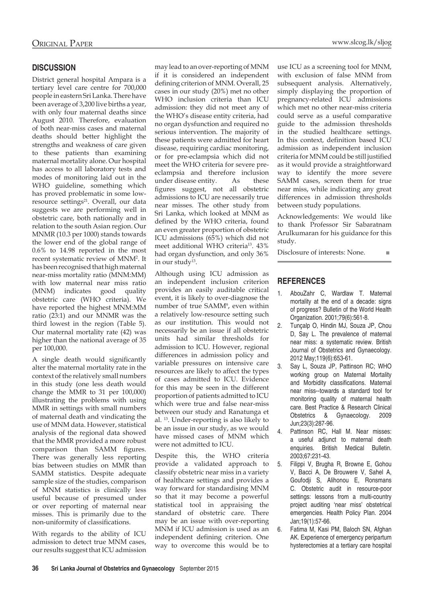# **Discussion**

District general hospital Ampara is a tertiary level care centre for 700,000 people in eastern Sri Lanka. There have been average of 3,200 live births a year, with only four maternal deaths since August 2010. Therefore, evaluation of both near-miss cases and maternal deaths should better highlight the strengths and weakness of care given to these patients than examining maternal mortality alone. Our hospital has access to all laboratory tests and modes of monitoring laid out in the WHO guideline, something which has proved problematic in some lowresource settings<sup>21</sup>. Overall, our data suggests we are performing well in obstetric care, both nationally and in relation to the south Asian region. Our MNMR (10.3 per 1000) stands towards the lower end of the global range of 0.6% to 14.98 reported in the most recent systematic review of MNM2 . It has been recognised that high maternal near-miss mortality ratio (MNM:MM) with low maternal near miss ratio (MNM) indicates good quality obstetric care (WHO criteria). We have reported the highest MNM:MM ratio (23:1) and our MNMR was the third lowest in the region (Table 5). Our maternal mortality rate (42) was higher than the national average of 35 per 100,000.

A single death would significantly alter the maternal mortality rate in the context of the relatively small numbers in this study (one less death would change the MMR to 31 per 100,000) illustrating the problems with using MMR in settings with small numbers of maternal death and vindicating the use of MNM data. However, statistical analysis of the regional data showed that the MMR provided a more robust comparison than SAMM figures. There was generally less reporting bias between studies on MMR than SAMM statistics. Despite adequate sample size of the studies, comparison of MNM statistics is clinically less useful because of presumed under or over reporting of maternal near misses. This is primarily due to the non-uniformity of classifications.

With regards to the ability of ICU admission to detect true MNM cases, our results suggest that ICU admission may lead to an over-reporting of MNM if it is considered an independent defining criterion of MNM. Overall, 25 cases in our study (20%) met no other WHO inclusion criteria than ICU admission: they did not meet any of the WHO's disease entity criteria, had no organ dysfunction and required no serious intervention. The majority of these patients were admitted for heart disease, requiring cardiac monitoring, or for pre-eclampsia which did not meet the WHO criteria for severe preeclampsia and therefore inclusion under disease entity. As these figures suggest, not all obstetric admissions to ICU are necessarily true near misses. The other study from Sri Lanka, which looked at MNM as defined by the WHO criteria, found an even greater proportion of obstetric ICU admissions (65%) which did not meet additional WHO criteria13. 43% had organ dysfunction, and only 36% in our study<sup>13</sup>.

Although using ICU admission as an independent inclusion criterion provides an easily auditable critical event, it is likely to over-diagnose the number of true SAMM9 , even within a relatively low-resource setting such as our institution. This would not necessarily be an issue if all obstetric units had similar thresholds for admission to ICU. However, regional differences in admission policy and variable pressures on intensive care resources are likely to affect the types of cases admitted to ICU. Evidence for this may be seen in the different proportion of patients admitted to ICU which were true and false near-miss between our study and Ranatunga et al. 13. Under-reporting is also likely to be an issue in our study, as we would have missed cases of MNM which were not admitted to ICU.

Despite this, the WHO criteria provide a validated approach to classify obstetric near miss in a variety of healthcare settings and provides a way forward for standardising MNM so that it may become a powerful statistical tool in appraising the standard of obstetric care. There may be an issue with over-reporting MNM if ICU admission is used as an independent defining criterion. One way to overcome this would be to

use ICU as a screening tool for MNM, with exclusion of false MNM from subsequent analysis. Alternatively, simply displaying the proportion of pregnancy-related ICU admissions which met no other near-miss criteria could serve as a useful comparative guide to the admission thresholds in the studied healthcare settings. In this context, definition based ICU admission as independent inclusion criteria for MNM could be still justified as it would provide a straightforward way to identify the more severe SAMM cases, screen them for true near miss, while indicating any great differences in admission thresholds between study populations.

Acknowledgements: We would like to thank Professor Sir Sabaratnam Arulkumaran for his guidance for this study.

Disclosure of interests: None. ■

# **References**

- 1. AbouZahr C, Wardlaw T. Maternal mortality at the end of a decade: signs of progress? Bulletin of the World Health Organization. 2001;79(6):561-8.
- 2. Tunçalp O, Hindin MJ, Souza JP, Chou D, Say L. The prevalence of maternal near miss: a systematic review. British Journal of Obstetrics and Gynaecology. 2012 May;119(6):653-61.
- Say L, Souza JP, Pattinson RC; WHO working group on Maternal Mortality and Morbidity classifications. Maternal near miss--towards a standard tool for monitoring quality of maternal health care. Best Practice & Research Clinical Obstetrics & Gynaecology. 2009 Jun;23(3):287-96.
- 4. Pattinson RC, Hall M. Near misses: a useful adjunct to maternal death enquiries. British Medical Bulletin. 2003;67:231-43.
- 5. Filippi V, Brugha R, Browne E, Gohou V, Bacci A, De Brouwere V, Sahel A, Goufodji S, Alihonou E, Ronsmans C. Obstetric audit in resource-poor settings: lessons from a multi-country project auditing 'near miss' obstetrical emergencies. Health Policy Plan. 2004 Jan;19(1):57-66.
- Fatima M, Kasi PM, Baloch SN, Afghan AK. Experience of emergency peripartum hysterectomies at a tertiary care hospital